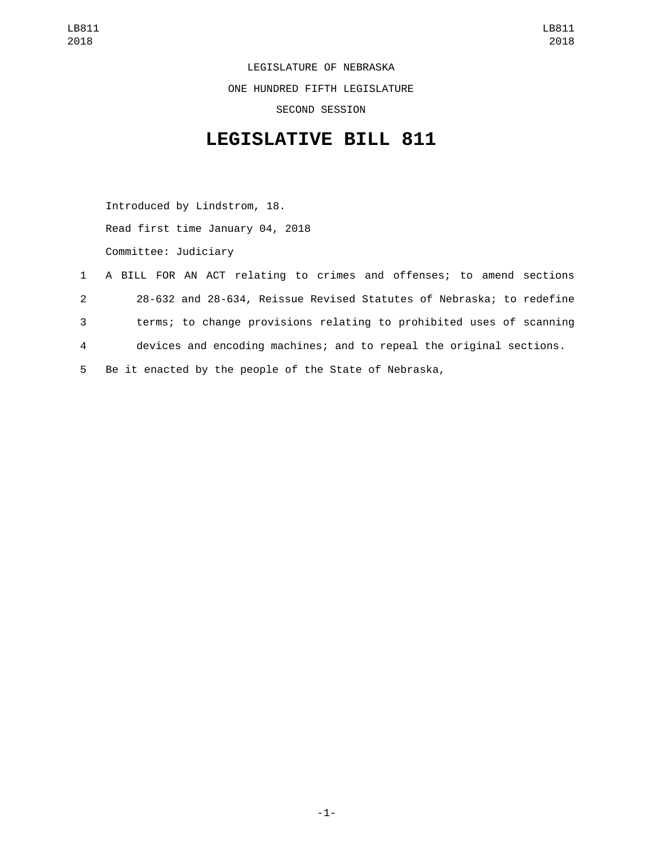LEGISLATURE OF NEBRASKA ONE HUNDRED FIFTH LEGISLATURE SECOND SESSION

## **LEGISLATIVE BILL 811**

Introduced by Lindstrom, 18. Read first time January 04, 2018 Committee: Judiciary

 A BILL FOR AN ACT relating to crimes and offenses; to amend sections 28-632 and 28-634, Reissue Revised Statutes of Nebraska; to redefine terms; to change provisions relating to prohibited uses of scanning devices and encoding machines; and to repeal the original sections. Be it enacted by the people of the State of Nebraska,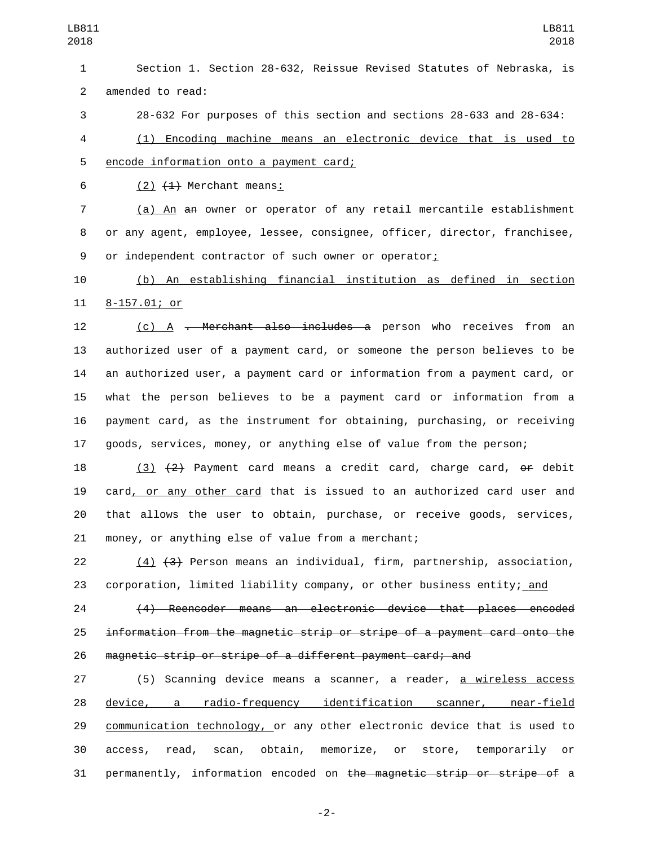Section 1. Section 28-632, Reissue Revised Statutes of Nebraska, is 2 amended to read:

28-632 For purposes of this section and sections 28-633 and 28-634:

 (1) Encoding machine means an electronic device that is used to 5 encode information onto a payment card;

6  $(2)$   $(4)$  Merchant means:

 (a) An an owner or operator of any retail mercantile establishment or any agent, employee, lessee, consignee, officer, director, franchisee, 9 or independent contractor of such owner or operator;

 (b) An establishing financial institution as defined in section 11 8-157.01; or

12 (c) A <del>. Merchant also includes a</del> person who receives from an authorized user of a payment card, or someone the person believes to be an authorized user, a payment card or information from a payment card, or what the person believes to be a payment card or information from a payment card, as the instrument for obtaining, purchasing, or receiving goods, services, money, or anything else of value from the person;

18 (3)  $\{2\}$  Payment card means a credit card, charge card,  $\Theta$  debit card, or any other card that is issued to an authorized card user and that allows the user to obtain, purchase, or receive goods, services, 21 money, or anything else of value from a merchant;

 (4) (3) Person means an individual, firm, partnership, association, 23 corporation, limited liability company, or other business entity; and

 (4) Reencoder means an electronic device that places encoded information from the magnetic strip or stripe of a payment card onto the magnetic strip or stripe of a different payment card; and

27 (5) Scanning device means a scanner, a reader, <u>a wireless access</u> device, a radio-frequency identification scanner, near-field communication technology, or any other electronic device that is used to access, read, scan, obtain, memorize, or store, temporarily or permanently, information encoded on the magnetic strip or stripe of a

-2-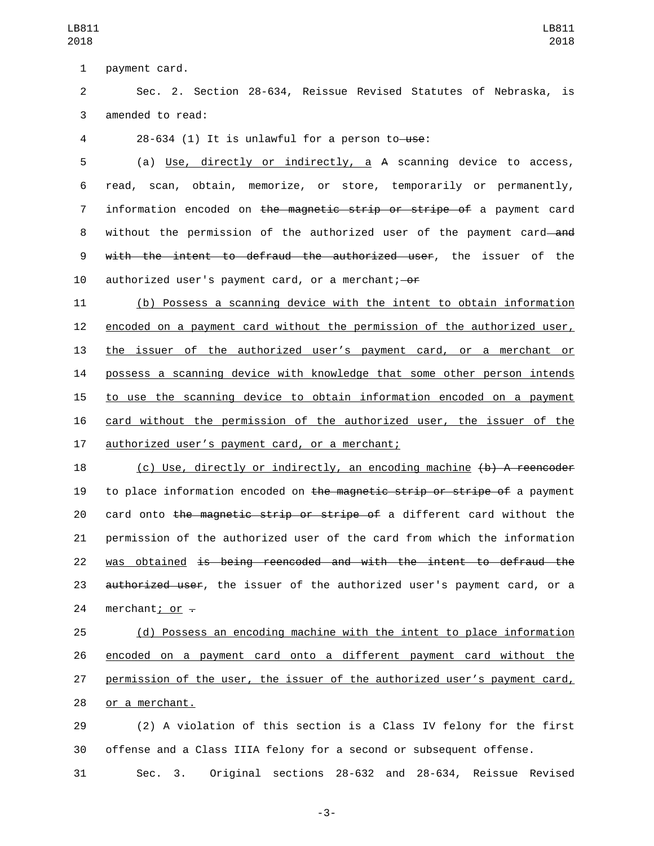1 payment card.

2 Sec. 2. Section 28-634, Reissue Revised Statutes of Nebraska, is 3 amended to read:

4 28-634 (1) It is unlawful for a person to use:

5 (a) Use, directly or indirectly, a A scanning device to access, 6 read, scan, obtain, memorize, or store, temporarily or permanently, 7 information encoded on the magnetic strip or stripe of a payment card 8 without the permission of the authorized user of the payment card—and 9 with the intent to defraud the authorized user, the issuer of the 10 authorized user's payment card, or a merchant; - or

 (b) Possess a scanning device with the intent to obtain information encoded on a payment card without the permission of the authorized user, the issuer of the authorized user's payment card, or a merchant or possess a scanning device with knowledge that some other person intends to use the scanning device to obtain information encoded on a payment card without the permission of the authorized user, the issuer of the 17 authorized user's payment card, or a merchant;

18 (c) Use, directly or indirectly, an encoding machine (b) A reencoder 19 to place information encoded on the magnetic strip or stripe of a payment 20 card onto the magnetic strip or stripe of a different card without the 21 permission of the authorized user of the card from which the information 22 was obtained is being reencoded and with the intent to defraud the 23 authorized user, the issuer of the authorized user's payment card, or a 24 merchant; or  $-$ 

 (d) Possess an encoding machine with the intent to place information encoded on a payment card onto a different payment card without the permission of the user, the issuer of the authorized user's payment card, 28 or a merchant.

29 (2) A violation of this section is a Class IV felony for the first 30 offense and a Class IIIA felony for a second or subsequent offense.

31 Sec. 3. Original sections 28-632 and 28-634, Reissue Revised

-3-